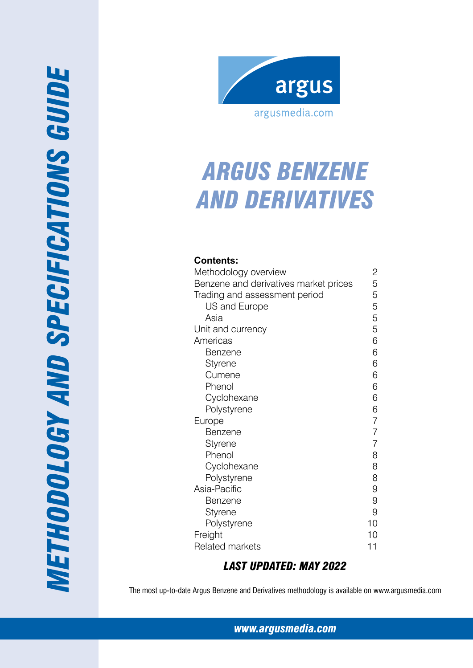

# *Argus Benzene and Derivatives*

# **Contents:**

| Methodology overview                  | 2              |
|---------------------------------------|----------------|
| Benzene and derivatives market prices | 5              |
| Trading and assessment period         | 5              |
| US and Europe                         | 5              |
| Asia                                  | 5              |
| Unit and currency                     | 5              |
| Americas                              | 6              |
| Benzene                               | 6              |
| Styrene                               | 6              |
| Cumene                                | 6              |
| Phenol                                | 6              |
| Cyclohexane                           | 6              |
| Polystyrene                           | 6              |
| Europe                                | $\overline{7}$ |
| Benzene                               | $\overline{7}$ |
| Styrene                               | $\overline{7}$ |
| Phenol                                | 8              |
| Cyclohexane                           | 8              |
| Polystyrene                           | 8              |
| Asia-Pacific                          | 9              |
| <b>Benzene</b>                        | 9              |
| Styrene                               | 9              |
| Polystyrene                           | 10             |
| Freight                               | 10             |
| <b>Related markets</b>                | 11             |

# *Last Updated: May 2022*

The most up-to-date Argus Benzene and Derivatives methodology is available on www.argusmedia.com

*www.argusmedia.com*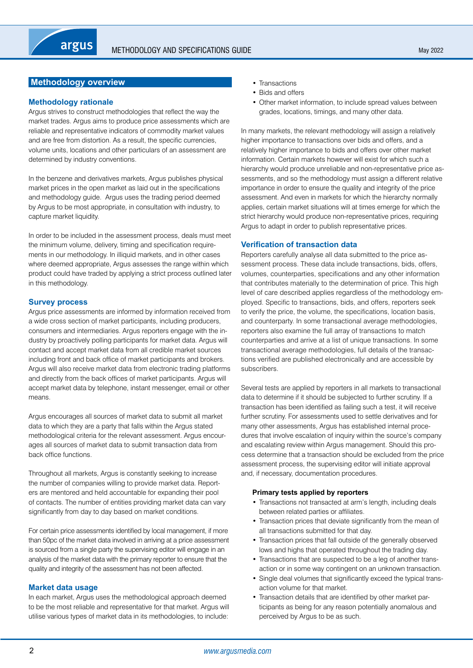# <span id="page-1-0"></span>**Methodology overview**

# **Methodology rationale**

Argus strives to construct methodologies that reflect the way the market trades. Argus aims to produce price assessments which are reliable and representative indicators of commodity market values and are free from distortion. As a result, the specific currencies, volume units, locations and other particulars of an assessment are determined by industry conventions.

In the benzene and derivatives markets, Argus publishes physical market prices in the open market as laid out in the specifications and methodology guide. Argus uses the trading period deemed by Argus to be most appropriate, in consultation with industry, to capture market liquidity.

In order to be included in the assessment process, deals must meet the minimum volume, delivery, timing and specification requirements in our methodology. In illiquid markets, and in other cases where deemed appropriate, Argus assesses the range within which product could have traded by applying a strict process outlined later in this methodology.

# **Survey process**

Argus price assessments are informed by information received from a wide cross section of market participants, including producers, consumers and intermediaries. Argus reporters engage with the industry by proactively polling participants for market data. Argus will contact and accept market data from all credible market sources including front and back office of market participants and brokers. Argus will also receive market data from electronic trading platforms and directly from the back offices of market participants. Argus will accept market data by telephone, instant messenger, email or other means.

Argus encourages all sources of market data to submit all market data to which they are a party that falls within the Argus stated methodological criteria for the relevant assessment. Argus encourages all sources of market data to submit transaction data from back office functions.

Throughout all markets, Argus is constantly seeking to increase the number of companies willing to provide market data. Reporters are mentored and held accountable for expanding their pool of contacts. The number of entities providing market data can vary significantly from day to day based on market conditions.

For certain price assessments identified by local management, if more than 50pc of the market data involved in arriving at a price assessment is sourced from a single party the supervising editor will engage in an analysis of the market data with the primary reporter to ensure that the quality and integrity of the assessment has not been affected.

# **Market data usage**

In each market, Argus uses the methodological approach deemed to be the most reliable and representative for that market. Argus will utilise various types of market data in its methodologies, to include:

- Transactions
- Bids and offers
- Other market information, to include spread values between grades, locations, timings, and many other data.

In many markets, the relevant methodology will assign a relatively higher importance to transactions over bids and offers, and a relatively higher importance to bids and offers over other market information. Certain markets however will exist for which such a hierarchy would produce unreliable and non-representative price assessments, and so the methodology must assign a different relative importance in order to ensure the quality and integrity of the price assessment. And even in markets for which the hierarchy normally applies, certain market situations will at times emerge for which the strict hierarchy would produce non-representative prices, requiring Argus to adapt in order to publish representative prices.

# **Verification of transaction data**

Reporters carefully analyse all data submitted to the price assessment process. These data include transactions, bids, offers, volumes, counterparties, specifications and any other information that contributes materially to the determination of price. This high level of care described applies regardless of the methodology employed. Specific to transactions, bids, and offers, reporters seek to verify the price, the volume, the specifications, location basis, and counterparty. In some transactional average methodologies, reporters also examine the full array of transactions to match counterparties and arrive at a list of unique transactions. In some transactional average methodologies, full details of the transactions verified are published electronically and are accessible by subscribers.

Several tests are applied by reporters in all markets to transactional data to determine if it should be subjected to further scrutiny. If a transaction has been identified as failing such a test, it will receive further scrutiny. For assessments used to settle derivatives and for many other assessments, Argus has established internal procedures that involve escalation of inquiry within the source's company and escalating review within Argus management. Should this process determine that a transaction should be excluded from the price assessment process, the supervising editor will initiate approval and, if necessary, documentation procedures.

# **Primary tests applied by reporters**

- Transactions not transacted at arm's length, including deals between related parties or affiliates.
- Transaction prices that deviate significantly from the mean of all transactions submitted for that day.
- Transaction prices that fall outside of the generally observed lows and highs that operated throughout the trading day.
- Transactions that are suspected to be a leg of another transaction or in some way contingent on an unknown transaction.
- Single deal volumes that significantly exceed the typical transaction volume for that market.
- Transaction details that are identified by other market participants as being for any reason potentially anomalous and perceived by Argus to be as such.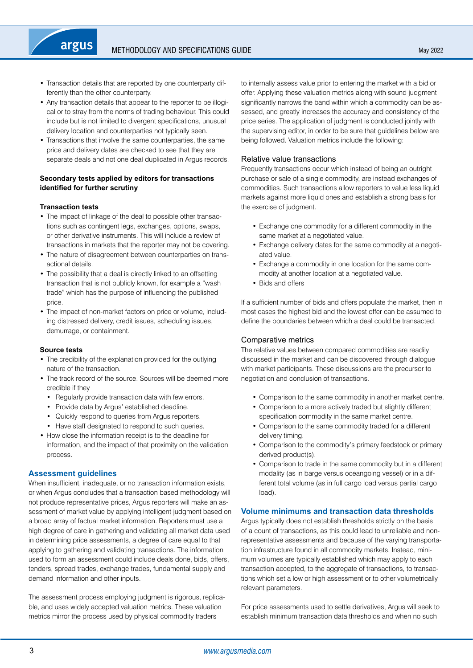- Transaction details that are reported by one counterparty differently than the other counterparty.
- Any transaction details that appear to the reporter to be illogical or to stray from the norms of trading behaviour. This could include but is not limited to divergent specifications, unusual delivery location and counterparties not typically seen.
- Transactions that involve the same counterparties, the same price and delivery dates are checked to see that they are separate deals and not one deal duplicated in Argus records.

# **Secondary tests applied by editors for transactions identified for further scrutiny**

# **Transaction tests**

argus

- The impact of linkage of the deal to possible other transactions such as contingent legs, exchanges, options, swaps, or other derivative instruments. This will include a review of transactions in markets that the reporter may not be covering.
- The nature of disagreement between counterparties on transactional details.
- The possibility that a deal is directly linked to an offsetting transaction that is not publicly known, for example a "wash trade" which has the purpose of influencing the published price.
- The impact of non-market factors on price or volume, including distressed delivery, credit issues, scheduling issues, demurrage, or containment.

#### **Source tests**

- The credibility of the explanation provided for the outlying nature of the transaction.
- The track record of the source. Sources will be deemed more credible if they
	- Regularly provide transaction data with few errors.
	- Provide data by Argus' established deadline.
	- Quickly respond to queries from Argus reporters.
- Have staff designated to respond to such queries.
- How close the information receipt is to the deadline for information, and the impact of that proximity on the validation process.

# **Assessment guidelines**

When insufficient, inadequate, or no transaction information exists, or when Argus concludes that a transaction based methodology will not produce representative prices, Argus reporters will make an assessment of market value by applying intelligent judgment based on a broad array of factual market information. Reporters must use a high degree of care in gathering and validating all market data used in determining price assessments, a degree of care equal to that applying to gathering and validating transactions. The information used to form an assessment could include deals done, bids, offers, tenders, spread trades, exchange trades, fundamental supply and demand information and other inputs.

The assessment process employing judgment is rigorous, replicable, and uses widely accepted valuation metrics. These valuation metrics mirror the process used by physical commodity traders

to internally assess value prior to entering the market with a bid or offer. Applying these valuation metrics along with sound judgment significantly narrows the band within which a commodity can be assessed, and greatly increases the accuracy and consistency of the price series. The application of judgment is conducted jointly with the supervising editor, in order to be sure that guidelines below are being followed. Valuation metrics include the following:

# Relative value transactions

Frequently transactions occur which instead of being an outright purchase or sale of a single commodity, are instead exchanges of commodities. Such transactions allow reporters to value less liquid markets against more liquid ones and establish a strong basis for the exercise of judgment.

- Exchange one commodity for a different commodity in the same market at a negotiated value.
- Exchange delivery dates for the same commodity at a negotiated value.
- Exchange a commodity in one location for the same commodity at another location at a negotiated value.
- Bids and offers

If a sufficient number of bids and offers populate the market, then in most cases the highest bid and the lowest offer can be assumed to define the boundaries between which a deal could be transacted.

# Comparative metrics

The relative values between compared commodities are readily discussed in the market and can be discovered through dialogue with market participants. These discussions are the precursor to negotiation and conclusion of transactions.

- Comparison to the same commodity in another market centre.
- Comparison to a more actively traded but slightly different specification commodity in the same market centre.
- Comparison to the same commodity traded for a different delivery timing.
- Comparison to the commodity's primary feedstock or primary derived product(s).
- Comparison to trade in the same commodity but in a different modality (as in barge versus oceangoing vessel) or in a different total volume (as in full cargo load versus partial cargo load).

# **Volume minimums and transaction data thresholds**

Argus typically does not establish thresholds strictly on the basis of a count of transactions, as this could lead to unreliable and nonrepresentative assessments and because of the varying transportation infrastructure found in all commodity markets. Instead, minimum volumes are typically established which may apply to each transaction accepted, to the aggregate of transactions, to transactions which set a low or high assessment or to other volumetrically relevant parameters.

For price assessments used to settle derivatives, Argus will seek to establish minimum transaction data thresholds and when no such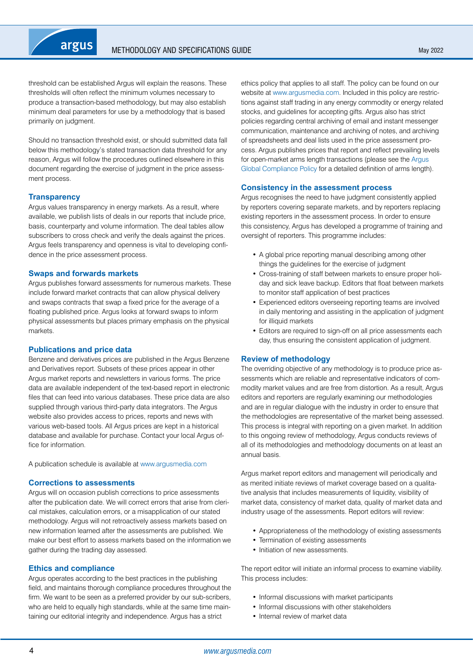threshold can be established Argus will explain the reasons. These thresholds will often reflect the minimum volumes necessary to produce a transaction-based methodology, but may also establish minimum deal parameters for use by a methodology that is based primarily on judgment.

Should no transaction threshold exist, or should submitted data fall below this methodology's stated transaction data threshold for any reason, Argus will follow the procedures outlined elsewhere in this document regarding the exercise of judgment in the price assessment process.

# **Transparency**

Argus values transparency in energy markets. As a result, where available, we publish lists of deals in our reports that include price, basis, counterparty and volume information. The deal tables allow subscribers to cross check and verify the deals against the prices. Argus feels transparency and openness is vital to developing confidence in the price assessment process.

#### **Swaps and forwards markets**

Argus publishes forward assessments for numerous markets. These include forward market contracts that can allow physical delivery and swaps contracts that swap a fixed price for the average of a floating published price. Argus looks at forward swaps to inform physical assessments but places primary emphasis on the physical markets.

#### **Publications and price data**

Benzene and derivatives prices are published in the Argus Benzene and Derivatives report. Subsets of these prices appear in other Argus market reports and newsletters in various forms. The price data are available independent of the text-based report in electronic files that can feed into various databases. These price data are also supplied through various third-party data integrators. The Argus website also provides access to prices, reports and news with various web-based tools. All Argus prices are kept in a historical database and available for purchase. Contact your local Argus office for information.

A publication schedule is available at [www.argusmedia.com](https://www.argusmedia.com/)

#### **Corrections to assessments**

Argus will on occasion publish corrections to price assessments after the publication date. We will correct errors that arise from clerical mistakes, calculation errors, or a misapplication of our stated methodology. Argus will not retroactively assess markets based on new information learned after the assessments are published. We make our best effort to assess markets based on the information we gather during the trading day assessed.

# **Ethics and compliance**

Argus operates according to the best practices in the publishing field, and maintains thorough compliance procedures throughout the firm. We want to be seen as a preferred provider by our sub-scribers, who are held to equally high standards, while at the same time maintaining our editorial integrity and independence. Argus has a strict

ethics policy that applies to all staff. The policy can be found on our website at [www.argusmedia.com.](https://www.argusmedia.com/) Included in this policy are restrictions against staff trading in any energy commodity or energy related stocks, and guidelines for accepting gifts. Argus also has strict policies regarding central archiving of email and instant messenger communication, maintenance and archiving of notes, and archiving of spreadsheets and deal lists used in the price assessment process. Argus publishes prices that report and reflect prevailing levels for open-market arms length transactions (please see the [Argus](https://www.argusmedia.com/-/media/Files/governance-and-compliance/global-compliance.ashx?la=en&hash=DB833EADC2BC60A7B262FC13D5E6A4B46CCDAB1E)  [Global Compliance Policy](https://www.argusmedia.com/-/media/Files/governance-and-compliance/global-compliance.ashx?la=en&hash=DB833EADC2BC60A7B262FC13D5E6A4B46CCDAB1E) for a detailed definition of arms length).

#### **Consistency in the assessment process**

Argus recognises the need to have judgment consistently applied by reporters covering separate markets, and by reporters replacing existing reporters in the assessment process. In order to ensure this consistency, Argus has developed a programme of training and oversight of reporters. This programme includes:

- A global price reporting manual describing among other things the guidelines for the exercise of judgment
- Cross-training of staff between markets to ensure proper holiday and sick leave backup. Editors that float between markets to monitor staff application of best practices
- Experienced editors overseeing reporting teams are involved in daily mentoring and assisting in the application of judgment for illiquid markets
- Editors are required to sign-off on all price assessments each day, thus ensuring the consistent application of judgment.

#### **Review of methodology**

The overriding objective of any methodology is to produce price assessments which are reliable and representative indicators of commodity market values and are free from distortion. As a result, Argus editors and reporters are regularly examining our methodologies and are in regular dialogue with the industry in order to ensure that the methodologies are representative of the market being assessed. This process is integral with reporting on a given market. In addition to this ongoing review of methodology, Argus conducts reviews of all of its methodologies and methodology documents on at least an annual basis.

Argus market report editors and management will periodically and as merited initiate reviews of market coverage based on a qualitative analysis that includes measurements of liquidity, visibility of market data, consistency of market data, quality of market data and industry usage of the assessments. Report editors will review:

- Appropriateness of the methodology of existing assessments
- Termination of existing assessments
- Initiation of new assessments.

The report editor will initiate an informal process to examine viability. This process includes:

- Informal discussions with market participants
- Informal discussions with other stakeholders
- Internal review of market data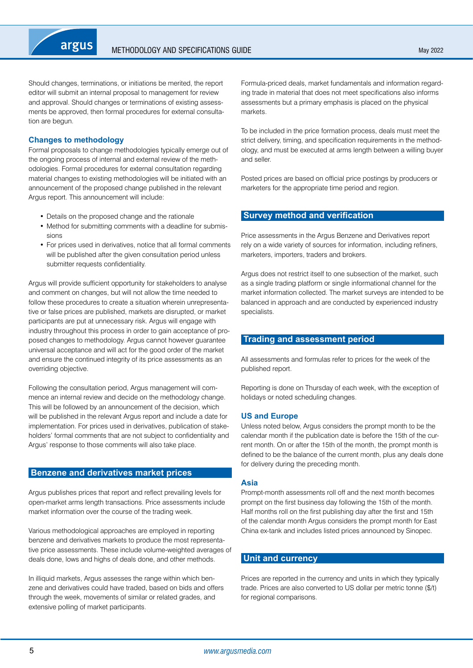<span id="page-4-0"></span>Should changes, terminations, or initiations be merited, the report editor will submit an internal proposal to management for review and approval. Should changes or terminations of existing assessments be approved, then formal procedures for external consultation are begun.

# **Changes to methodology**

Formal proposals to change methodologies typically emerge out of the ongoing process of internal and external review of the methodologies. Formal procedures for external consultation regarding material changes to existing methodologies will be initiated with an announcement of the proposed change published in the relevant Argus report. This announcement will include:

- Details on the proposed change and the rationale
- Method for submitting comments with a deadline for submissions
- For prices used in derivatives, notice that all formal comments will be published after the given consultation period unless submitter requests confidentiality.

Argus will provide sufficient opportunity for stakeholders to analyse and comment on changes, but will not allow the time needed to follow these procedures to create a situation wherein unrepresentative or false prices are published, markets are disrupted, or market participants are put at unnecessary risk. Argus will engage with industry throughout this process in order to gain acceptance of proposed changes to methodology. Argus cannot however guarantee universal acceptance and will act for the good order of the market and ensure the continued integrity of its price assessments as an overriding objective.

Following the consultation period, Argus management will commence an internal review and decide on the methodology change. This will be followed by an announcement of the decision, which will be published in the relevant Argus report and include a date for implementation. For prices used in derivatives, publication of stakeholders' formal comments that are not subject to confidentiality and Argus' response to those comments will also take place.

# **Benzene and derivatives market prices**

Argus publishes prices that report and reflect prevailing levels for open-market arms length transactions. Price assessments include market information over the course of the trading week.

Various methodological approaches are employed in reporting benzene and derivatives markets to produce the most representative price assessments. These include volume-weighted averages of deals done, lows and highs of deals done, and other methods.

In illiquid markets, Argus assesses the range within which benzene and derivatives could have traded, based on bids and offers through the week, movements of similar or related grades, and extensive polling of market participants.

Formula-priced deals, market fundamentals and information regarding trade in material that does not meet specifications also informs assessments but a primary emphasis is placed on the physical markets.

To be included in the price formation process, deals must meet the strict delivery, timing, and specification requirements in the methodology, and must be executed at arms length between a willing buyer and seller.

Posted prices are based on official price postings by producers or marketers for the appropriate time period and region.

# **Survey method and verification**

Price assessments in the Argus Benzene and Derivatives report rely on a wide variety of sources for information, including refiners, marketers, importers, traders and brokers.

Argus does not restrict itself to one subsection of the market, such as a single trading platform or single informational channel for the market information collected. The market surveys are intended to be balanced in approach and are conducted by experienced industry specialists.

# **Trading and assessment period**

All assessments and formulas refer to prices for the week of the published report.

Reporting is done on Thursday of each week, with the exception of holidays or noted scheduling changes.

# **US and Europe**

Unless noted below, Argus considers the prompt month to be the calendar month if the publication date is before the 15th of the current month. On or after the 15th of the month, the prompt month is defined to be the balance of the current month, plus any deals done for delivery during the preceding month.

# **Asia**

Prompt-month assessments roll off and the next month becomes prompt on the first business day following the 15th of the month. Half months roll on the first publishing day after the first and 15th of the calendar month Argus considers the prompt month for East China ex-tank and includes listed prices announced by Sinopec.

# **Unit and currency**

Prices are reported in the currency and units in which they typically trade. Prices are also converted to US dollar per metric tonne (\$/t) for regional comparisons.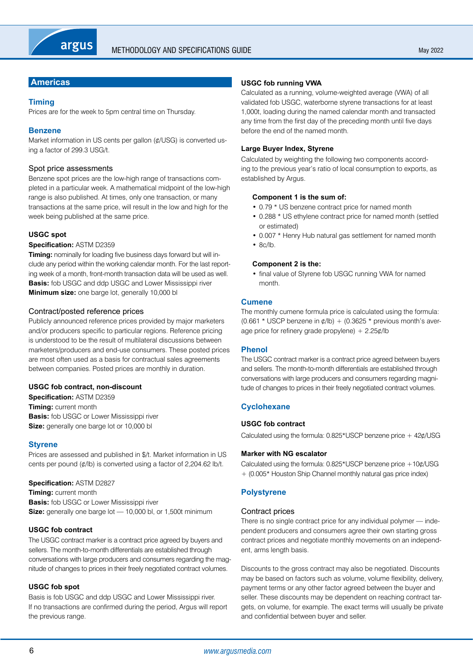# <span id="page-5-0"></span>**Americas**

# **Timing**

Prices are for the week to 5pm central time on Thursday.

# **Benzene**

Market information in US cents per gallon (¢/USG) is converted using a factor of 299.3 USG/t.

# Spot price assessments

Benzene spot prices are the low-high range of transactions completed in a particular week. A mathematical midpoint of the low-high range is also published. At times, only one transaction, or many transactions at the same price, will result in the low and high for the week being published at the same price.

# **USGC spot**

#### **Specification:** ASTM D2359

**Timing:** nominally for loading five business days forward but will include any period within the working calendar month. For the last reporting week of a month, front-month transaction data will be used as well. **Basis:** fob USGC and ddp USGC and Lower Mississippi river **Minimum size:** one barge lot, generally 10,000 bl

# Contract/posted reference prices

Publicly announced reference prices provided by major marketers and/or producers specific to particular regions. Reference pricing is understood to be the result of multilateral discussions between marketers/producers and end-use consumers. These posted prices are most often used as a basis for contractual sales agreements between companies. Posted prices are monthly in duration.

# **USGC fob contract, non-discount**

**Specification:** ASTM D2359 **Timing:** current month **Basis:** fob USGC or Lower Mississippi river **Size:** generally one barge lot or 10,000 bl

# **Styrene**

Prices are assessed and published in \$/t. Market information in US cents per pound  $(\phi/\mathsf{lb})$  is converted using a factor of 2,204.62 lb/t.

# **Specification:** ASTM D2827

**Timing:** current month **Basis:** fob USGC or Lower Mississippi river **Size:** generally one barge lot — 10,000 bl, or 1,500t minimum

# **USGC fob contract**

The USGC contract marker is a contract price agreed by buyers and sellers. The month-to-month differentials are established through conversations with large producers and consumers regarding the magnitude of changes to prices in their freely negotiated contract volumes.

# **USGC fob spot**

Basis is fob USGC and ddp USGC and Lower Mississippi river. If no transactions are confirmed during the period, Argus will report the previous range.

# **USGC fob running VWA**

Calculated as a running, volume-weighted average (VWA) of all validated fob USGC, waterborne styrene transactions for at least 1,000t, loading during the named calendar month and transacted any time from the first day of the preceding month until five days before the end of the named month.

# **Large Buyer Index, Styrene**

Calculated by weighting the following two components according to the previous year's ratio of local consumption to exports, as established by Argus.

#### **Component 1 is the sum of:**

- 0.79 \* US benzene contract price for named month
- 0.288 \* US ethylene contract price for named month (settled or estimated)
- 0.007 \* Henry Hub natural gas settlement for named month
- 8c/lb.

# **Component 2 is the:**

• final value of Styrene fob USGC running VWA for named month.

# **Cumene**

The monthly cumene formula price is calculated using the formula: (0.661 \* USCP benzene in  $\phi$ /lb) + (0.3625 \* previous month's average price for refinery grade propylene)  $+ 2.25 \frac{\cancel{0}}{\cancel{0}}$ 

# **Phenol**

The USGC contract marker is a contract price agreed between buyers and sellers. The month-to-month differentials are established through conversations with large producers and consumers regarding magnitude of changes to prices in their freely negotiated contract volumes.

# **Cyclohexane**

# **USGC fob contract**

Calculated using the formula: 0.825\*USCP benzene price + 42¢/USG

#### **Marker with NG escalator**

Calculated using the formula: 0.825\*USCP benzene price +10¢/USG + (0.005\* Houston Ship Channel monthly natural gas price index)

# **Polystyrene**

# Contract prices

There is no single contract price for any individual polymer — independent producers and consumers agree their own starting gross contract prices and negotiate monthly movements on an independent, arms length basis.

Discounts to the gross contract may also be negotiated. Discounts may be based on factors such as volume, volume flexibility, delivery, payment terms or any other factor agreed between the buyer and seller. These discounts may be dependent on reaching contract targets, on volume, for example. The exact terms will usually be private and confidential between buyer and seller.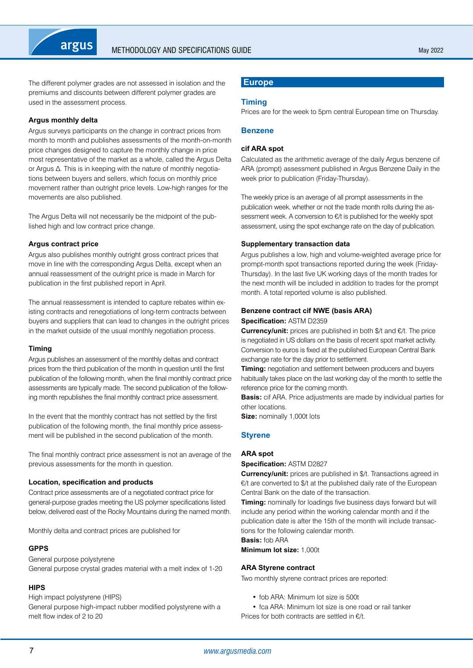<span id="page-6-0"></span>The different polymer grades are not assessed in isolation and the premiums and discounts between different polymer grades are used in the assessment process.

# **Argus monthly delta**

Argus surveys participants on the change in contract prices from month to month and publishes assessments of the month-on-month price changes designed to capture the monthly change in price most representative of the market as a whole, called the Argus Delta or Argus Δ. This is in keeping with the nature of monthly negotiations between buyers and sellers, which focus on monthly price movement rather than outright price levels. Low-high ranges for the movements are also published.

The Argus Delta will not necessarily be the midpoint of the published high and low contract price change.

# **Argus contract price**

Argus also publishes monthly outright gross contract prices that move in line with the corresponding Argus Delta, except when an annual reassessment of the outright price is made in March for publication in the first published report in April.

The annual reassessment is intended to capture rebates within existing contracts and renegotiations of long-term contracts between buyers and suppliers that can lead to changes in the outright prices in the market outside of the usual monthly negotiation process.

# **Timing**

Argus publishes an assessment of the monthly deltas and contract prices from the third publication of the month in question until the first publication of the following month, when the final monthly contract price assessments are typically made. The second publication of the following month republishes the final monthly contract price assessment.

In the event that the monthly contract has not settled by the first publication of the following month, the final monthly price assessment will be published in the second publication of the month.

The final monthly contract price assessment is not an average of the previous assessments for the month in question.

# **Location, specification and products**

Contract price assessments are of a negotiated contract price for general-purpose grades meeting the US polymer specifications listed below, delivered east of the Rocky Mountains during the named month.

Monthly delta and contract prices are published for

# **GPPS**

General purpose polystyrene General purpose crystal grades material with a melt index of 1-20

# **HIPS**

High impact polystyrene (HIPS) General purpose high-impact rubber modified polystyrene with a

melt flow index of 2 to 20

# **Europe**

# **Timing**

Prices are for the week to 5pm central European time on Thursday.

# **Benzene**

# **cif ARA spot**

Calculated as the arithmetic average of the daily Argus benzene cif ARA (prompt) assessment published in Argus Benzene Daily in the week prior to publication (Friday-Thursday).

The weekly price is an average of all prompt assessments in the publication week, whether or not the trade month rolls during the assessment week. A conversion to €/t is published for the weekly spot assessment, using the spot exchange rate on the day of publication.

# **Supplementary transaction data**

Argus publishes a low, high and volume-weighted average price for prompt-month spot transactions reported during the week (Friday-Thursday). In the last five UK working days of the month trades for the next month will be included in addition to trades for the prompt month. A total reported volume is also published.

# **Benzene contract cif NWE (basis ARA)**

**Specification:** ASTM D2359

**Currency/unit:** prices are published in both \$/t and €/t. The price is negotiated in US dollars on the basis of recent spot market activity. Conversion to euros is fixed at the published European Central Bank exchange rate for the day prior to settlement.

**Timing:** negotiation and settlement between producers and buyers habitually takes place on the last working day of the month to settle the reference price for the coming month.

**Basis:** cif ARA. Price adjustments are made by individual parties for other locations.

**Size:** nominally 1,000t lots

# **Styrene**

# **ARA spot**

**Specification:** ASTM D2827

**Currency/unit:** prices are published in \$/t. Transactions agreed in €/t are converted to \$/t at the published daily rate of the European Central Bank on the date of the transaction.

**Timing:** nominally for loadings five business days forward but will include any period within the working calendar month and if the publication date is after the 15th of the month will include transactions for the following calendar month.

**Basis:** fob ARA

**Minimum lot size:** 1,000t

# **ARA Styrene contract**

Two monthly styrene contract prices are reported:

- fob ARA: Minimum lot size is 500t
- fca ARA: Minimum lot size is one road or rail tanker Prices for both contracts are settled in €/t.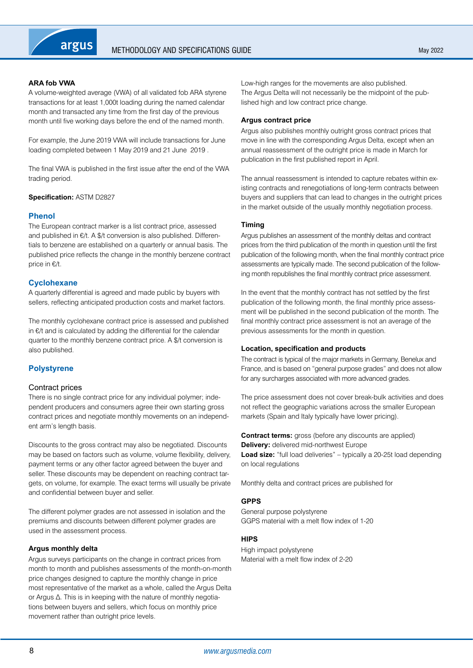# <span id="page-7-0"></span>**ARA fob VWA**

A volume-weighted average (VWA) of all validated fob ARA styrene transactions for at least 1,000t loading during the named calendar month and transacted any time from the first day of the previous month until five working days before the end of the named month.

For example, the June 2019 VWA will include transactions for June loading completed between 1 May 2019 and 21 June 2019 .

The final VWA is published in the first issue after the end of the VWA trading period.

**Specification:** ASTM D2827

# **Phenol**

The European contract marker is a list contract price, assessed and published in €/t. A \$/t conversion is also published. Differentials to benzene are established on a quarterly or annual basis. The published price reflects the change in the monthly benzene contract price in €/t.

# **Cyclohexane**

A quarterly differential is agreed and made public by buyers with sellers, reflecting anticipated production costs and market factors.

The monthly cyclohexane contract price is assessed and published in €/t and is calculated by adding the differential for the calendar quarter to the monthly benzene contract price. A \$/t conversion is also published.

# **Polystyrene**

# Contract prices

There is no single contract price for any individual polymer; independent producers and consumers agree their own starting gross contract prices and negotiate monthly movements on an independent arm's length basis.

Discounts to the gross contract may also be negotiated. Discounts may be based on factors such as volume, volume flexibility, delivery, payment terms or any other factor agreed between the buyer and seller. These discounts may be dependent on reaching contract targets, on volume, for example. The exact terms will usually be private and confidential between buyer and seller.

The different polymer grades are not assessed in isolation and the premiums and discounts between different polymer grades are used in the assessment process.

# **Argus monthly delta**

Argus surveys participants on the change in contract prices from month to month and publishes assessments of the month-on-month price changes designed to capture the monthly change in price most representative of the market as a whole, called the Argus Delta or Argus Δ. This is in keeping with the nature of monthly negotiations between buyers and sellers, which focus on monthly price movement rather than outright price levels.

Low-high ranges for the movements are also published. The Argus Delta will not necessarily be the midpoint of the published high and low contract price change.

#### **Argus contract price**

Argus also publishes monthly outright gross contract prices that move in line with the corresponding Argus Delta, except when an annual reassessment of the outright price is made in March for publication in the first published report in April.

The annual reassessment is intended to capture rebates within existing contracts and renegotiations of long-term contracts between buyers and suppliers that can lead to changes in the outright prices in the market outside of the usually monthly negotiation process.

#### **Timing**

Argus publishes an assessment of the monthly deltas and contract prices from the third publication of the month in question until the first publication of the following month, when the final monthly contract price assessments are typically made. The second publication of the following month republishes the final monthly contract price assessment.

In the event that the monthly contract has not settled by the first publication of the following month, the final monthly price assessment will be published in the second publication of the month. The final monthly contract price assessment is not an average of the previous assessments for the month in question.

#### **Location, specification and products**

The contract is typical of the major markets in Germany, Benelux and France, and is based on "general purpose grades" and does not allow for any surcharges associated with more advanced grades.

The price assessment does not cover break-bulk activities and does not reflect the geographic variations across the smaller European markets (Spain and Italy typically have lower pricing).

**Contract terms:** gross (before any discounts are applied) **Delivery:** delivered mid-northwest Europe **Load size:** "full load deliveries" – typically a 20-25t load depending on local regulations

Monthly delta and contract prices are published for

# **GPPS**

General purpose polystyrene GGPS material with a melt flow index of 1-20

# **HIPS**

High impact polystyrene Material with a melt flow index of 2-20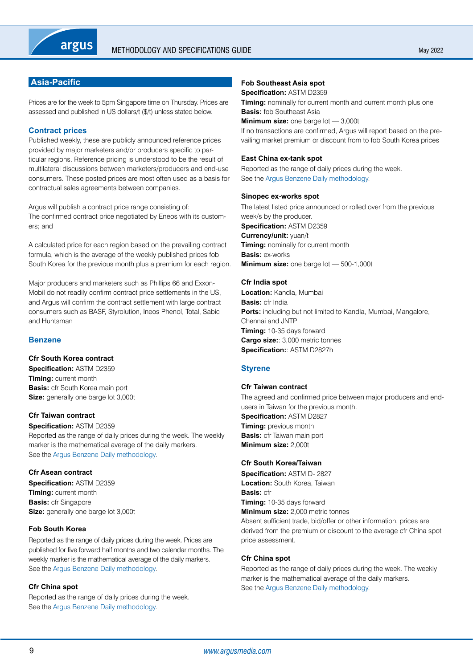# <span id="page-8-0"></span>**Asia-Pacific**

Prices are for the week to 5pm Singapore time on Thursday. Prices are assessed and published in US dollars/t (\$/t) unless stated below.

# **Contract prices**

Published weekly, these are publicly announced reference prices provided by major marketers and/or producers specific to particular regions. Reference pricing is understood to be the result of multilateral discussions between marketers/producers and end-use consumers. These posted prices are most often used as a basis for contractual sales agreements between companies.

Argus will publish a contract price range consisting of: The confirmed contract price negotiated by Eneos with its customers; and

A calculated price for each region based on the prevailing contract formula, which is the average of the weekly published prices fob South Korea for the previous month plus a premium for each region.

Major producers and marketers such as Phillips 66 and Exxon-Mobil do not readily confirm contract price settlements in the US, and Argus will confirm the contract settlement with large contract consumers such as BASF, Styrolution, Ineos Phenol, Total, Sabic and Huntsman

# **Benzene**

# **Cfr South Korea contract**

**Specification:** ASTM D2359 **Timing:** current month **Basis:** cfr South Korea main port **Size:** generally one barge lot 3,000t

# **Cfr Taiwan contract**

**Specification:** ASTM D2359 Reported as the range of daily prices during the week. The weekly marker is the mathematical average of the daily markers. See the [Argus Benzene Daily methodology.](https://www.argusmedia.com/-/media/Files/methodology/argus-benzene-daily.ashx)

#### **Cfr Asean contract**

**Specification:** ASTM D2359 **Timing:** current month **Basis:** cfr Singapore **Size:** generally one barge lot 3,000t

# **Fob South Korea**

Reported as the range of daily prices during the week. Prices are published for five forward half months and two calendar months. The weekly marker is the mathematical average of the daily markers. See the [Argus Benzene Daily methodology.](https://www.argusmedia.com/-/media/Files/methodology/argus-benzene-daily.ashx)

#### **Cfr China spot**

Reported as the range of daily prices during the week. See the [Argus Benzene Daily methodology.](https://www.argusmedia.com/-/media/Files/methodology/argus-benzene-daily.ashx)

# **Fob Southeast Asia spot**

#### **Specification:** ASTM D2359

**Timing:** nominally for current month and current month plus one **Basis:** fob Southeast Asia **Minimum size:** one barge lot — 3,000t

If no transactions are confirmed, Argus will report based on the prevailing market premium or discount from to fob South Korea prices

# **East China ex-tank spot**

Reported as the range of daily prices during the week. See the [Argus Benzene Daily methodology](https://www.argusmedia.com/-/media/Files/methodology/argus-benzene-daily.ashx).

#### **Sinopec ex-works spot**

The latest listed price announced or rolled over from the previous week/s by the producer. **Specification:** ASTM D2359 **Currency/unit:** yuan/t **Timing:** nominally for current month **Basis:** ex-works **Minimum size:** one barge lot — 500-1,000t

# **Cfr India spot**

**Location:** Kandla, Mumbai **Basis:** cfr India **Ports:** including but not limited to Kandla, Mumbai, Mangalore, Chennai and JNTP **Timing:** 10-35 days forward **Cargo size:**: 3,000 metric tonnes **Specification:**: ASTM D2827h

# **Styrene**

#### **Cfr Taiwan contract**

The agreed and confirmed price between major producers and endusers in Taiwan for the previous month. **Specification:** ASTM D2827 **Timing:** previous month

**Basis:** cfr Taiwan main port **Minimum size:** 2,000t

# **Cfr South Korea/Taiwan**

**Specification:** ASTM D- 2827 **Location:** South Korea, Taiwan **Basis:** cfr **Timing:** 10-35 days forward **Minimum size:** 2,000 metric tonnes

Absent sufficient trade, bid/offer or other information, prices are derived from the premium or discount to the average cfr China spot price assessment.

# **Cfr China spot**

Reported as the range of daily prices during the week. The weekly marker is the mathematical average of the daily markers. See the [Argus Benzene Daily methodology](https://www.argusmedia.com/-/media/Files/methodology/argus-benzene-daily.ashx).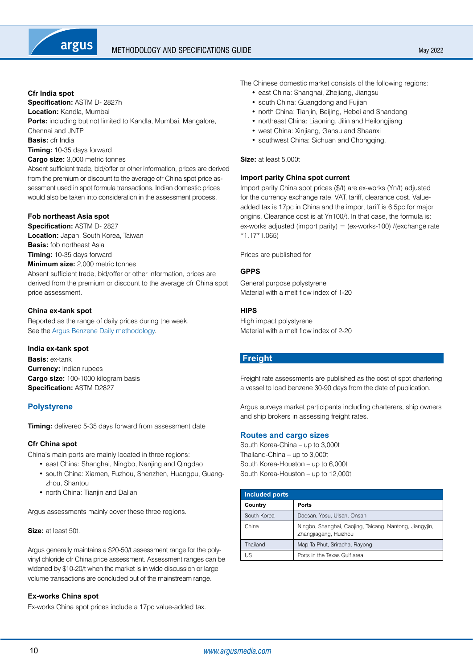# Methodology and specifications guide

#### <span id="page-9-0"></span>**Cfr India spot**

**Specification:** ASTM D- 2827h **Location:** Kandla, Mumbai **Ports:** including but not limited to Kandla, Mumbai, Mangalore, Chennai and JNTP **Basis:** cfr India **Timing:** 10-35 days forward **Cargo size:** 3,000 metric tonnes

Absent sufficient trade, bid/offer or other information, prices are derived from the premium or discount to the average cfr China spot price assessment used in spot formula transactions. Indian domestic prices would also be taken into consideration in the assessment process.

# **Fob northeast Asia spot**

**Specification:** ASTM D- 2827 **Location:** Japan, South Korea, Taiwan **Basis:** fob northeast Asia **Timing:** 10-35 days forward **Minimum size:** 2,000 metric tonnes Absent sufficient trade, bid/offer or other information, prices are derived from the premium or discount to the average cfr China spot

# **China ex-tank spot**

price assessment.

Reported as the range of daily prices during the week. See the [Argus Benzene Daily methodology.](https://www.argusmedia.com/-/media/Files/methodology/argus-benzene-daily.ashx)

#### **India ex-tank spot**

**Basis:** ex-tank **Currency:** Indian rupees **Cargo size:** 100-1000 kilogram basis **Specification:** ASTM D2827

# **Polystyrene**

**Timing:** delivered 5-35 days forward from assessment date

# **Cfr China spot**

China's main ports are mainly located in three regions:

- east China: Shanghai, Ningbo, Nanjing and Qingdao
- south China: Xiamen, Fuzhou, Shenzhen, Huangpu, Guangzhou, Shantou
- north China: Tianiin and Dalian

Argus assessments mainly cover these three regions.

# **Size:** at least 50t.

Argus generally maintains a \$20-50/t assessment range for the polyvinyl chloride cfr China price assessment. Assessment ranges can be widened by \$10-20/t when the market is in wide discussion or large volume transactions are concluded out of the mainstream range.

# **Ex-works China spot**

Ex-works China spot prices include a 17pc value-added tax.

The Chinese domestic market consists of the following regions:

- east China: Shanghai, Zhejiang, Jiangsu
- south China: Guangdong and Fujian
- north China: Tianjin, Beijing, Hebei and Shandong
- northeast China: Liaoning, Jilin and Heilongjiang
- west China: Xinjiang, Gansu and Shaanxi
- southwest China: Sichuan and Chongqing.

#### **Size:** at least 5,000t

#### **Import parity China spot current**

Import parity China spot prices (\$/t) are ex-works (Yn/t) adjusted for the currency exchange rate, VAT, tariff, clearance cost. Valueadded tax is 17pc in China and the import tariff is 6.5pc for major origins. Clearance cost is at Yn100/t. In that case, the formula is: ex-works adjusted (import parity) = (ex-works-100) /(exchange rate \*1.17\*1.065)

Prices are published for

# **GPPS**

General purpose polystyrene Material with a melt flow index of 1-20

# **HIPS**

High impact polystyrene Material with a melt flow index of 2-20

# **Freight**

Freight rate assessments are published as the cost of spot chartering a vessel to load benzene 30-90 days from the date of publication.

Argus surveys market participants including charterers, ship owners and ship brokers in assessing freight rates.

# **Routes and cargo sizes**

South Korea-China – up to 3,000t Thailand-China – up to 3,000t South Korea-Houston – up to 6,000t South Korea-Houston – up to 12,000t

| <b>Included ports</b> |                                                                                  |  |
|-----------------------|----------------------------------------------------------------------------------|--|
| Country               | Ports                                                                            |  |
| South Korea           | Daesan, Yosu, Ulsan, Onsan                                                       |  |
| China                 | Ningbo, Shanghai, Caojing, Taicang, Nantong, Jiangyjin,<br>Zhangjiagang, Huizhou |  |
| Thailand              | Map Ta Phut, Sriracha, Rayong                                                    |  |
| US                    | Ports in the Texas Gulf area.                                                    |  |